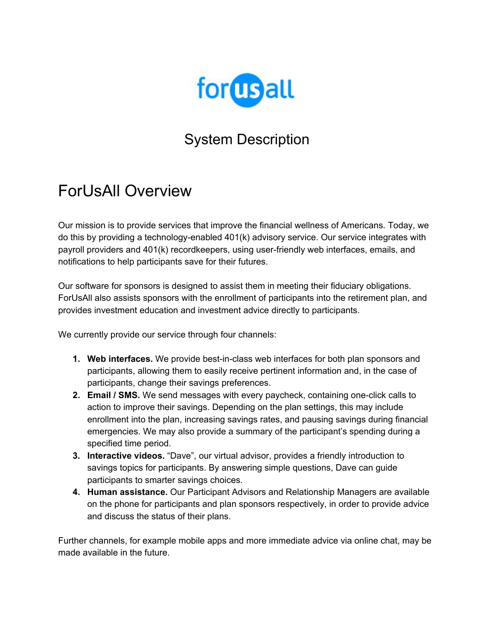

### System Description

### ForUsAll Overview

Our mission is to provide services that improve the financial wellness of Americans. Today, we do this by providing a technology-enabled 401(k) advisory service. Our service integrates with payroll providers and 401(k) recordkeepers, using user-friendly web interfaces, emails, and notifications to help participants save for their futures.

Our software for sponsors is designed to assist them in meeting their fiduciary obligations. ForUsAll also assists sponsors with the enrollment of participants into the retirement plan, and provides investment education and investment advice directly to participants.

We currently provide our service through four channels:

- **1. Web interfaces.** We provide best-in-class web interfaces for both plan sponsors and participants, allowing them to easily receive pertinent information and, in the case of participants, change their savings preferences.
- **2. Email / SMS.** We send messages with every paycheck, containing one-click calls to action to improve their savings. Depending on the plan settings, this may include enrollment into the plan, increasing savings rates, and pausing savings during financial emergencies. We may also provide a summary of the participant's spending during a specified time period.
- **3. Interactive videos.** "Dave", our virtual advisor, provides a friendly introduction to savings topics for participants. By answering simple questions, Dave can guide participants to smarter savings choices.
- **4. Human assistance.** Our Participant Advisors and Relationship Managers are available on the phone for participants and plan sponsors respectively, in order to provide advice and discuss the status of their plans.

Further channels, for example mobile apps and more immediate advice via online chat, may be made available in the future.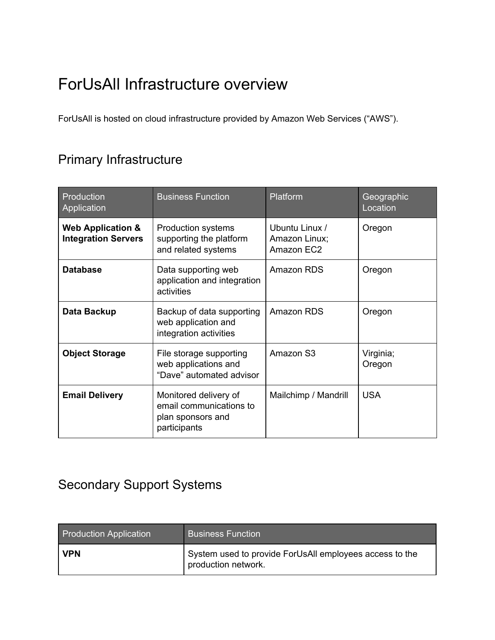### ForUsAll Infrastructure overview

ForUsAll is hosted on cloud infrastructure provided by Amazon Web Services ("AWS").

#### Primary Infrastructure

| Production<br>Application                                  | <b>Business Function</b>                                                              | Platform                                      | Geographic<br>Location |
|------------------------------------------------------------|---------------------------------------------------------------------------------------|-----------------------------------------------|------------------------|
| <b>Web Application &amp;</b><br><b>Integration Servers</b> | <b>Production systems</b><br>supporting the platform<br>and related systems           | Ubuntu Linux /<br>Amazon Linux;<br>Amazon EC2 | Oregon                 |
| <b>Database</b>                                            | Data supporting web<br>application and integration<br>activities                      | Amazon RDS                                    | Oregon                 |
| Data Backup                                                | Backup of data supporting<br>web application and<br>integration activities            | Amazon RDS                                    | Oregon                 |
| <b>Object Storage</b>                                      | File storage supporting<br>web applications and<br>"Dave" automated advisor           | Amazon S3                                     | Virginia;<br>Oregon    |
| <b>Email Delivery</b>                                      | Monitored delivery of<br>email communications to<br>plan sponsors and<br>participants | Mailchimp / Mandrill                          | <b>USA</b>             |

#### Secondary Support Systems

| <b>Production Application</b> | <b>Business Function</b>                                                       |
|-------------------------------|--------------------------------------------------------------------------------|
| <b>VPN</b>                    | System used to provide ForUsAll employees access to the<br>production network. |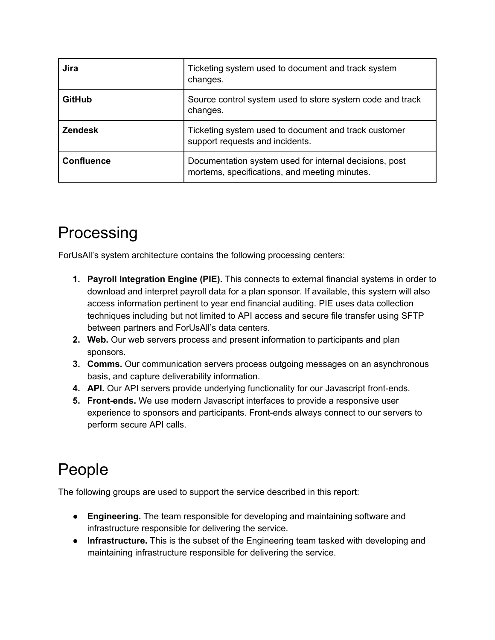| Jira              | Ticketing system used to document and track system<br>changes.                                          |
|-------------------|---------------------------------------------------------------------------------------------------------|
| <b>GitHub</b>     | Source control system used to store system code and track<br>changes.                                   |
| <b>Zendesk</b>    | Ticketing system used to document and track customer<br>support requests and incidents.                 |
| <b>Confluence</b> | Documentation system used for internal decisions, post<br>mortems, specifications, and meeting minutes. |

### Processing

ForUsAll's system architecture contains the following processing centers:

- **1. Payroll Integration Engine (PIE).** This connects to external financial systems in order to download and interpret payroll data for a plan sponsor. If available, this system will also access information pertinent to year end financial auditing. PIE uses data collection techniques including but not limited to API access and secure file transfer using SFTP between partners and ForUsAll's data centers.
- **2. Web.** Our web servers process and present information to participants and plan sponsors.
- **3. Comms.** Our communication servers process outgoing messages on an asynchronous basis, and capture deliverability information.
- **4. API.** Our API servers provide underlying functionality for our Javascript front-ends.
- **5. Front-ends.** We use modern Javascript interfaces to provide a responsive user experience to sponsors and participants. Front-ends always connect to our servers to perform secure API calls.

# People

The following groups are used to support the service described in this report:

- **● Engineering.** The team responsible for developing and maintaining software and infrastructure responsible for delivering the service.
- **● Infrastructure.** This is the subset of the Engineering team tasked with developing and maintaining infrastructure responsible for delivering the service.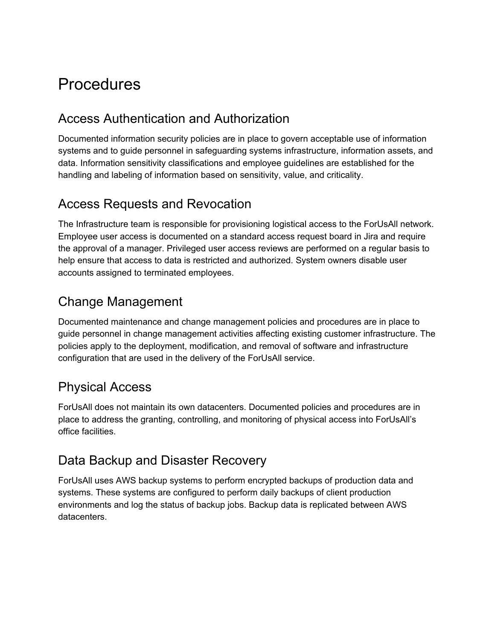# **Procedures**

#### Access Authentication and Authorization

Documented information security policies are in place to govern acceptable use of information systems and to guide personnel in safeguarding systems infrastructure, information assets, and data. Information sensitivity classifications and employee guidelines are established for the handling and labeling of information based on sensitivity, value, and criticality.

#### Access Requests and Revocation

The Infrastructure team is responsible for provisioning logistical access to the ForUsAll network. Employee user access is documented on a standard access request board in Jira and require the approval of a manager. Privileged user access reviews are performed on a regular basis to help ensure that access to data is restricted and authorized. System owners disable user accounts assigned to terminated employees.

#### Change Management

Documented maintenance and change management policies and procedures are in place to guide personnel in change management activities affecting existing customer infrastructure. The policies apply to the deployment, modification, and removal of software and infrastructure configuration that are used in the delivery of the ForUsAll service.

#### Physical Access

ForUsAll does not maintain its own datacenters. Documented policies and procedures are in place to address the granting, controlling, and monitoring of physical access into ForUsAll's office facilities.

#### Data Backup and Disaster Recovery

ForUsAll uses AWS backup systems to perform encrypted backups of production data and systems. These systems are configured to perform daily backups of client production environments and log the status of backup jobs. Backup data is replicated between AWS datacenters.